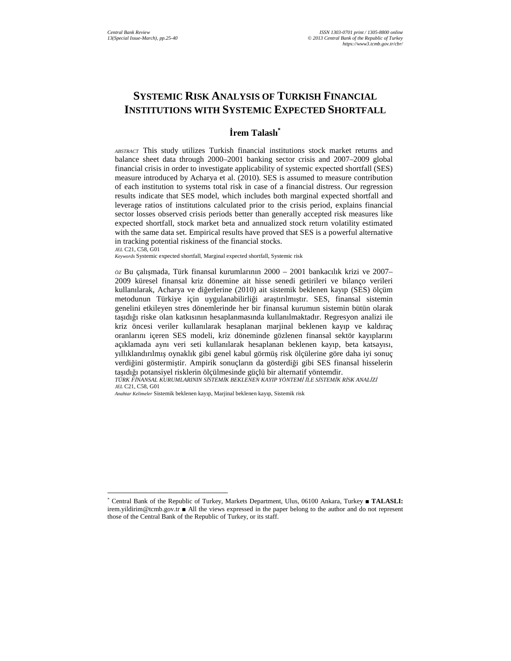# **SYSTEMIC RISK ANALYSIS OF TURKISH FINANCIAL INSTITUTIONS WITH SYSTEMIC EXPECTED SHORTFALL**

### **Đrem Talaslı\***

*ABSTRACT* This study utilizes Turkish financial institutions stock market returns and balance sheet data through 2000–2001 banking sector crisis and 2007–2009 global financial crisis in order to investigate applicability of systemic expected shortfall (SES) measure introduced by Acharya et al. (2010). SES is assumed to measure contribution of each institution to systems total risk in case of a financial distress. Our regression results indicate that SES model, which includes both marginal expected shortfall and leverage ratios of institutions calculated prior to the crisis period, explains financial sector losses observed crisis periods better than generally accepted risk measures like expected shortfall, stock market beta and annualized stock return volatility estimated with the same data set. Empirical results have proved that SES is a powerful alternative in tracking potential riskiness of the financial stocks. *JEL* C21, C58, G01

*Keywords* Systemic expected shortfall, Marginal expected shortfall, Systemic risk

*ÖZ* Bu çalışmada, Türk finansal kurumlarının 2000 – 2001 bankacılık krizi ve 2007– 2009 küresel finansal kriz dönemine ait hisse senedi getirileri ve bilanço verileri kullanılarak, Acharya ve diğerlerine (2010) ait sistemik beklenen kayıp (SES) ölçüm metodunun Türkiye için uygulanabilirliği araştırılmıştır. SES, finansal sistemin genelini etkileyen stres dönemlerinde her bir finansal kurumun sistemin bütün olarak taşıdığı riske olan katkısının hesaplanmasında kullanılmaktadır. Regresyon analizi ile kriz öncesi veriler kullanılarak hesaplanan marjinal beklenen kayıp ve kaldıraç oranlarını içeren SES modeli, kriz döneminde gözlenen finansal sektör kayıplarını açıklamada aynı veri seti kullanılarak hesaplanan beklenen kayıp, beta katsayısı, yıllıklandırılmış oynaklık gibi genel kabul görmüş risk ölçülerine göre daha iyi sonuç verdiğini göstermiştir. Ampirik sonuçların da gösterdiği gibi SES finansal hisselerin taşıdığı potansiyel risklerin ölçülmesinde güçlü bir alternatif yöntemdir.

 *TÜRK FĐNANSAL KURUMLARININ SĐSTEMĐK BEKLENEN KAYIP YÖNTEMĐ ĐLE SĐSTEMĐK RĐSK ANALĐZĐ JEL* C21, C58, G01

*Anahtar Kelimeler* Sistemik beklenen kayıp, Marjinal beklenen kayıp, Sistemik risk

 $\overline{a}$ 

<sup>\*</sup> Central Bank of the Republic of Turkey, Markets Department, Ulus, 06100 Ankara, Turkey ■ **TALASLI:**  irem.yildirim@tcmb.gov.tr ■ All the views expressed in the paper belong to the author and do not represent those of the Central Bank of the Republic of Turkey, or its staff.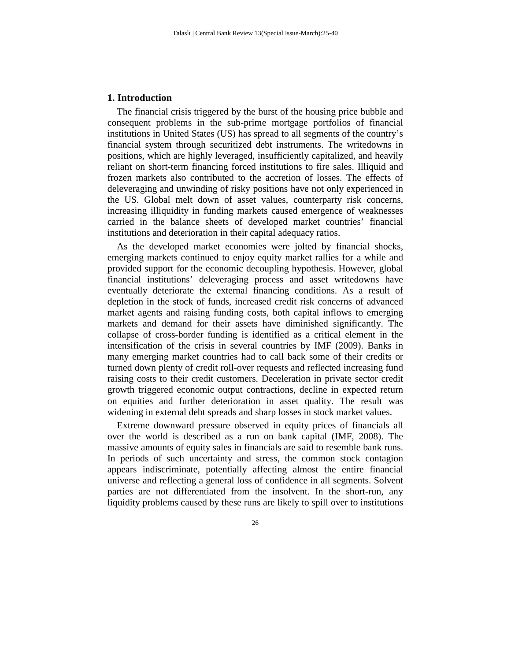#### **1. Introduction**

The financial crisis triggered by the burst of the housing price bubble and consequent problems in the sub-prime mortgage portfolios of financial institutions in United States (US) has spread to all segments of the country's financial system through securitized debt instruments. The writedowns in positions, which are highly leveraged, insufficiently capitalized, and heavily reliant on short-term financing forced institutions to fire sales. Illiquid and frozen markets also contributed to the accretion of losses. The effects of deleveraging and unwinding of risky positions have not only experienced in the US. Global melt down of asset values, counterparty risk concerns, increasing illiquidity in funding markets caused emergence of weaknesses carried in the balance sheets of developed market countries' financial institutions and deterioration in their capital adequacy ratios.

As the developed market economies were jolted by financial shocks, emerging markets continued to enjoy equity market rallies for a while and provided support for the economic decoupling hypothesis. However, global financial institutions' deleveraging process and asset writedowns have eventually deteriorate the external financing conditions. As a result of depletion in the stock of funds, increased credit risk concerns of advanced market agents and raising funding costs, both capital inflows to emerging markets and demand for their assets have diminished significantly. The collapse of cross-border funding is identified as a critical element in the intensification of the crisis in several countries by IMF (2009). Banks in many emerging market countries had to call back some of their credits or turned down plenty of credit roll-over requests and reflected increasing fund raising costs to their credit customers. Deceleration in private sector credit growth triggered economic output contractions, decline in expected return on equities and further deterioration in asset quality. The result was widening in external debt spreads and sharp losses in stock market values.

Extreme downward pressure observed in equity prices of financials all over the world is described as a run on bank capital (IMF, 2008). The massive amounts of equity sales in financials are said to resemble bank runs. In periods of such uncertainty and stress, the common stock contagion appears indiscriminate, potentially affecting almost the entire financial universe and reflecting a general loss of confidence in all segments. Solvent parties are not differentiated from the insolvent. In the short-run, any liquidity problems caused by these runs are likely to spill over to institutions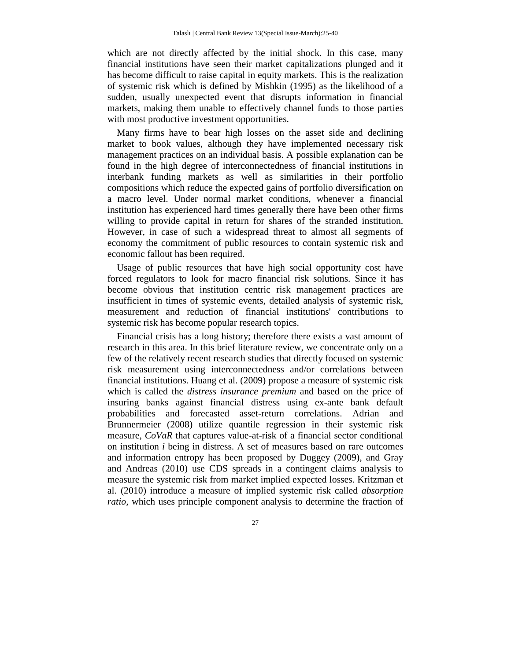which are not directly affected by the initial shock. In this case, many financial institutions have seen their market capitalizations plunged and it has become difficult to raise capital in equity markets. This is the realization of systemic risk which is defined by Mishkin (1995) as the likelihood of a sudden, usually unexpected event that disrupts information in financial markets, making them unable to effectively channel funds to those parties with most productive investment opportunities.

Many firms have to bear high losses on the asset side and declining market to book values, although they have implemented necessary risk management practices on an individual basis. A possible explanation can be found in the high degree of interconnectedness of financial institutions in interbank funding markets as well as similarities in their portfolio compositions which reduce the expected gains of portfolio diversification on a macro level. Under normal market conditions, whenever a financial institution has experienced hard times generally there have been other firms willing to provide capital in return for shares of the stranded institution. However, in case of such a widespread threat to almost all segments of economy the commitment of public resources to contain systemic risk and economic fallout has been required.

Usage of public resources that have high social opportunity cost have forced regulators to look for macro financial risk solutions. Since it has become obvious that institution centric risk management practices are insufficient in times of systemic events, detailed analysis of systemic risk, measurement and reduction of financial institutions' contributions to systemic risk has become popular research topics.

Financial crisis has a long history; therefore there exists a vast amount of research in this area. In this brief literature review, we concentrate only on a few of the relatively recent research studies that directly focused on systemic risk measurement using interconnectedness and/or correlations between financial institutions. Huang et al. (2009) propose a measure of systemic risk which is called the *distress insurance premium* and based on the price of insuring banks against financial distress using ex-ante bank default probabilities and forecasted asset-return correlations. Adrian and Brunnermeier (2008) utilize quantile regression in their systemic risk measure, *CoVaR* that captures value-at-risk of a financial sector conditional on institution *i* being in distress. A set of measures based on rare outcomes and information entropy has been proposed by Duggey (2009), and Gray and Andreas (2010) use CDS spreads in a contingent claims analysis to measure the systemic risk from market implied expected losses. Kritzman et al. (2010) introduce a measure of implied systemic risk called *absorption ratio,* which uses principle component analysis to determine the fraction of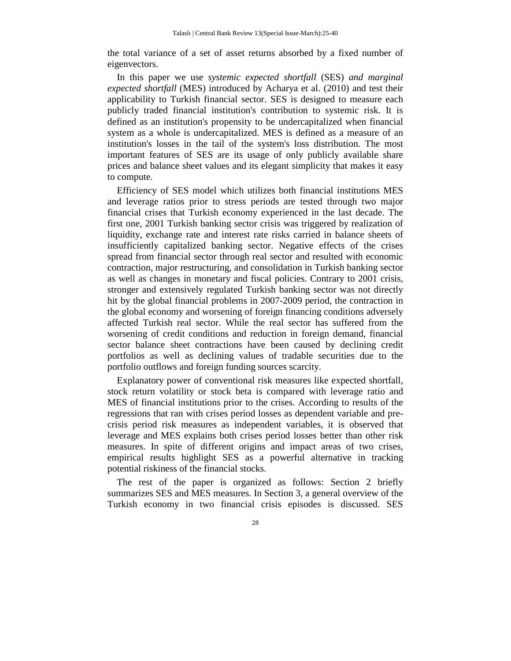the total variance of a set of asset returns absorbed by a fixed number of eigenvectors.

In this paper we use *systemic expected shortfall* (SES) *and marginal expected shortfall* (MES) introduced by Acharya et al. (2010) and test their applicability to Turkish financial sector. SES is designed to measure each publicly traded financial institution's contribution to systemic risk. It is defined as an institution's propensity to be undercapitalized when financial system as a whole is undercapitalized. MES is defined as a measure of an institution's losses in the tail of the system's loss distribution. The most important features of SES are its usage of only publicly available share prices and balance sheet values and its elegant simplicity that makes it easy to compute.

Efficiency of SES model which utilizes both financial institutions MES and leverage ratios prior to stress periods are tested through two major financial crises that Turkish economy experienced in the last decade. The first one, 2001 Turkish banking sector crisis was triggered by realization of liquidity, exchange rate and interest rate risks carried in balance sheets of insufficiently capitalized banking sector. Negative effects of the crises spread from financial sector through real sector and resulted with economic contraction, major restructuring, and consolidation in Turkish banking sector as well as changes in monetary and fiscal policies. Contrary to 2001 crisis, stronger and extensively regulated Turkish banking sector was not directly hit by the global financial problems in 2007-2009 period, the contraction in the global economy and worsening of foreign financing conditions adversely affected Turkish real sector. While the real sector has suffered from the worsening of credit conditions and reduction in foreign demand, financial sector balance sheet contractions have been caused by declining credit portfolios as well as declining values of tradable securities due to the portfolio outflows and foreign funding sources scarcity.

Explanatory power of conventional risk measures like expected shortfall, stock return volatility or stock beta is compared with leverage ratio and MES of financial institutions prior to the crises. According to results of the regressions that ran with crises period losses as dependent variable and precrisis period risk measures as independent variables, it is observed that leverage and MES explains both crises period losses better than other risk measures. In spite of different origins and impact areas of two crises, empirical results highlight SES as a powerful alternative in tracking potential riskiness of the financial stocks.

The rest of the paper is organized as follows: Section 2 briefly summarizes SES and MES measures. In Section 3, a general overview of the Turkish economy in two financial crisis episodes is discussed. SES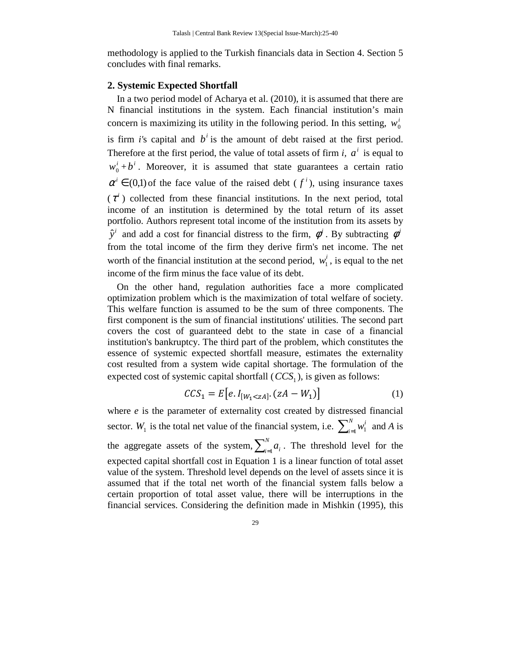methodology is applied to the Turkish financials data in Section 4. Section 5 concludes with final remarks.

#### **2. Systemic Expected Shortfall**

In a two period model of Acharya et al. (2010), it is assumed that there are N financial institutions in the system. Each financial institution's main concern is maximizing its utility in the following period. In this setting,  $w_0^i$ is firm *i*'s capital and  $b^i$  is the amount of debt raised at the first period. Therefore at the first period, the value of total assets of firm *i*,  $a^i$  is equal to  $w_0^i + b^i$ . Moreover, it is assumed that state guarantees a certain ratio  $\alpha^{i} \in (0,1)$  of the face value of the raised debt  $(f^{i})$ , using insurance taxes  $(\tau^i)$  collected from these financial institutions. In the next period, total income of an institution is determined by the total return of its asset portfolio. Authors represent total income of the institution from its assets by  $\hat{y}^i$  and add a cost for financial distress to the firm,  $\phi^i$ . By subtracting  $\phi^i$ from the total income of the firm they derive firm's net income. The net worth of the financial institution at the second period,  $w_1^i$ , is equal to the net income of the firm minus the face value of its debt.

On the other hand, regulation authorities face a more complicated optimization problem which is the maximization of total welfare of society. This welfare function is assumed to be the sum of three components. The first component is the sum of financial institutions' utilities. The second part covers the cost of guaranteed debt to the state in case of a financial institution's bankruptcy. The third part of the problem, which constitutes the essence of systemic expected shortfall measure, estimates the externality cost resulted from a system wide capital shortage. The formulation of the expected cost of systemic capital shortfall  $(CCS<sub>1</sub>)$ , is given as follows:

$$
CCS_1 = E[e.I_{[W_1 < zA]}.(zA - W_1)]
$$
 (1)

where *e* is the parameter of externality cost created by distressed financial sector. *W*<sub>1</sub> is the total net value of the financial system, i.e.  $\sum_{i=1}^{N}$ *i*  $w_1^i$  and *A* is the aggregate assets of the system,  $\sum_{i=1}^{N}$  $\int_{i=1}^{N} a_i$ . The threshold level for the expected capital shortfall cost in Equation 1 is a linear function of total asset value of the system. Threshold level depends on the level of assets since it is assumed that if the total net worth of the financial system falls below a certain proportion of total asset value, there will be interruptions in the financial services. Considering the definition made in Mishkin (1995), this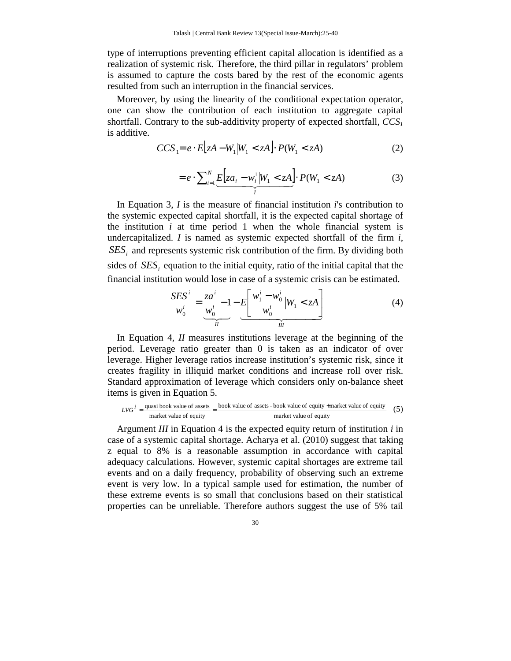type of interruptions preventing efficient capital allocation is identified as a realization of systemic risk. Therefore, the third pillar in regulators' problem is assumed to capture the costs bared by the rest of the economic agents resulted from such an interruption in the financial services.

Moreover, by using the linearity of the conditional expectation operator, one can show the contribution of each institution to aggregate capital shortfall. Contrary to the sub-additivity property of expected shortfall, *CCS<sup>1</sup>* is additive.

$$
CCS_1 = e \cdot E[zA - W_1|W_1 < zA] \cdot P(W_1 < zA) \tag{2}
$$

$$
=e\cdot\sum_{i=1}^{N}\underbrace{E\Big[za_i-w_i^1\big|W_1< zA\Big]}_{I} \cdot P(W_1< zA) \tag{3}
$$

In Equation 3, *I* is the measure of financial institution *i*'s contribution to the systemic expected capital shortfall, it is the expected capital shortage of the institution  $i$  at time period 1 when the whole financial system is undercapitalized. *I* is named as systemic expected shortfall of the firm *i*,  $SES_i$  and represents systemic risk contribution of the firm. By dividing both sides of  $SES<sub>i</sub>$  equation to the initial equity, ratio of the initial capital that the financial institution would lose in case of a systemic crisis can be estimated.

$$
\frac{SES^{i}}{w_0^{i}} = \underbrace{\frac{za^{i}}{w_0^{i}} - 1}_{\text{if}} - E\left[\frac{w_1^{i} - w_0^{i}}{w_0^{i}} | W_1 < zA\right]}_{\text{if}} \tag{4}
$$

In Equation 4, *II* measures institutions leverage at the beginning of the period. Leverage ratio greater than 0 is taken as an indicator of over leverage. Higher leverage ratios increase institution's systemic risk, since it creates fragility in illiquid market conditions and increase roll over risk. Standard approximation of leverage which considers only on-balance sheet items is given in Equation 5.

$$
LVG^{i} = \frac{\text{quasi book value of assets}}{\text{market value of equity}} = \frac{\text{book value of assets - book value of equity} + \text{market value of equity}}{\text{market value of equity}} \tag{5}
$$

Argument *III* in Equation 4 is the expected equity return of institution *i* in case of a systemic capital shortage. Acharya et al. (2010) suggest that taking z equal to 8% is a reasonable assumption in accordance with capital adequacy calculations. However, systemic capital shortages are extreme tail events and on a daily frequency, probability of observing such an extreme event is very low. In a typical sample used for estimation, the number of these extreme events is so small that conclusions based on their statistical properties can be unreliable. Therefore authors suggest the use of 5% tail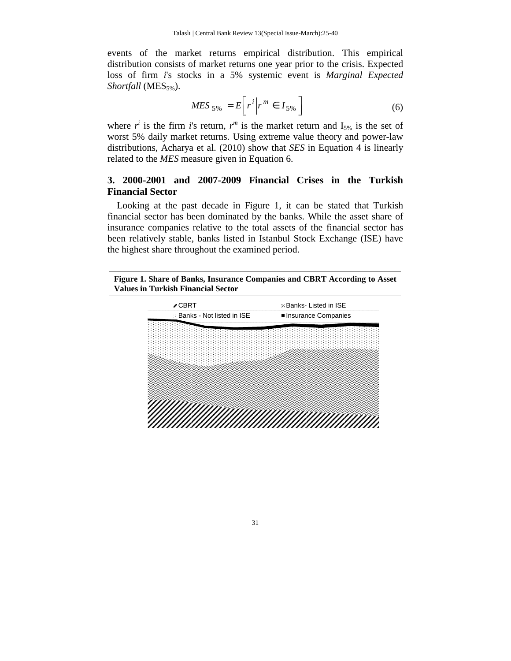events of the market returns empirical distribution. This empirical distribution consists of market returns one year prior to the crisis. Expected loss of firm *i*'s stocks in a 5% systemic event is *Marginal Expected Shortfall* (MES<sub>5%</sub>).

$$
MES_{5\%} = E\bigg[r^i\bigg|r^m \in I_{5\%}\bigg]
$$
 (6)

where  $r^i$  is the firm *i*'s return,  $r^m$  is the market return and  $I_{5%}$  is the set of worst 5% daily market returns. Using extreme value theory and power-law distributions, Acharya et al. (2010) show that *SES* in Equation 4 is linearly related to the *MES* measure given in Equation 6.

## **3. 2000-2001 and 2007-2009 Financial Crises in the Turkish Financial Sector**

Looking at the past decade in Figure 1, it can be stated that Turkish financial sector has been dominated by the banks. While the asset share of insurance companies relative to the total assets of the financial sector has been relatively stable, banks listed in Istanbul Stock Exchange (ISE) have the highest share throughout the examined period.

**Figure 1. Share of Banks, Insurance Companies and CBRT According to Asset Values in Turkish Financial Sector** 

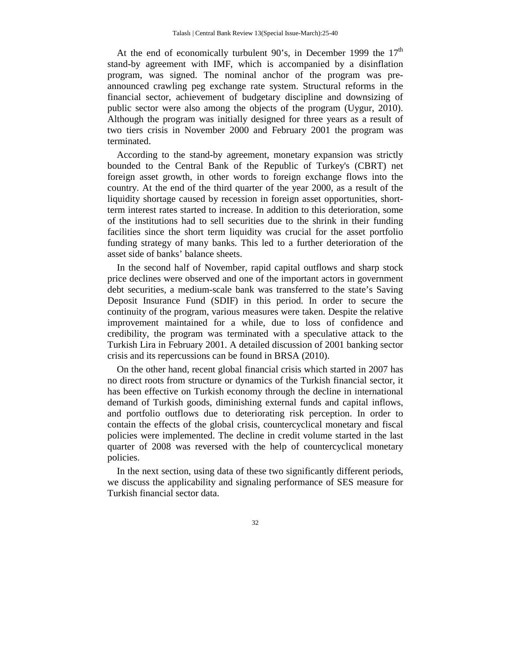At the end of economically turbulent 90's, in December 1999 the  $17<sup>th</sup>$ stand-by agreement with IMF, which is accompanied by a disinflation program, was signed. The nominal anchor of the program was preannounced crawling peg exchange rate system. Structural reforms in the financial sector, achievement of budgetary discipline and downsizing of public sector were also among the objects of the program (Uygur, 2010). Although the program was initially designed for three years as a result of two tiers crisis in November 2000 and February 2001 the program was terminated.

According to the stand-by agreement, monetary expansion was strictly bounded to the Central Bank of the Republic of Turkey's (CBRT) net foreign asset growth, in other words to foreign exchange flows into the country. At the end of the third quarter of the year 2000, as a result of the liquidity shortage caused by recession in foreign asset opportunities, shortterm interest rates started to increase. In addition to this deterioration, some of the institutions had to sell securities due to the shrink in their funding facilities since the short term liquidity was crucial for the asset portfolio funding strategy of many banks. This led to a further deterioration of the asset side of banks' balance sheets.

In the second half of November, rapid capital outflows and sharp stock price declines were observed and one of the important actors in government debt securities, a medium-scale bank was transferred to the state's Saving Deposit Insurance Fund (SDIF) in this period. In order to secure the continuity of the program, various measures were taken. Despite the relative improvement maintained for a while, due to loss of confidence and credibility, the program was terminated with a speculative attack to the Turkish Lira in February 2001. A detailed discussion of 2001 banking sector crisis and its repercussions can be found in BRSA (2010).

On the other hand, recent global financial crisis which started in 2007 has no direct roots from structure or dynamics of the Turkish financial sector, it has been effective on Turkish economy through the decline in international demand of Turkish goods, diminishing external funds and capital inflows, and portfolio outflows due to deteriorating risk perception. In order to contain the effects of the global crisis, countercyclical monetary and fiscal policies were implemented. The decline in credit volume started in the last quarter of 2008 was reversed with the help of countercyclical monetary policies.

In the next section, using data of these two significantly different periods, we discuss the applicability and signaling performance of SES measure for Turkish financial sector data.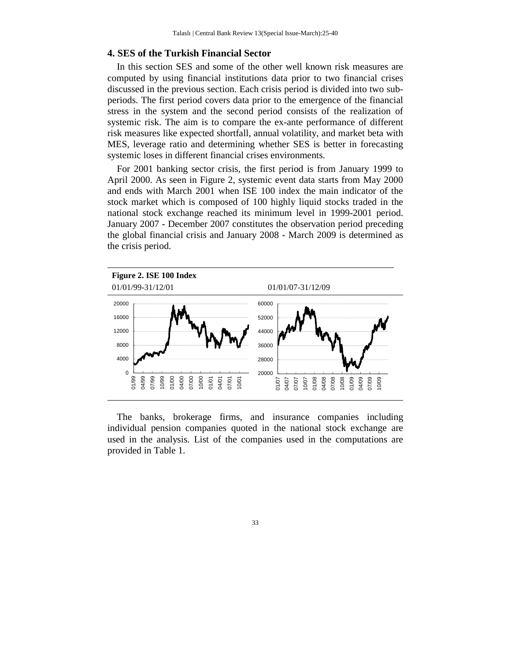#### **4. SES of the Turkish Financial Sector**

In this section SES and some of the other well known risk measures are computed by using financial institutions data prior to two financial crises discussed in the previous section. Each crisis period is divided into two subperiods. The first period covers data prior to the emergence of the financial stress in the system and the second period consists of the realization of systemic risk. The aim is to compare the ex-ante performance of different risk measures like expected shortfall, annual volatility, and market beta with MES, leverage ratio and determining whether SES is better in forecasting systemic loses in different financial crises environments.

For 2001 banking sector crisis, the first period is from January 1999 to April 2000. As seen in Figure 2, systemic event data starts from May 2000 and ends with March 2001 when ISE 100 index the main indicator of the stock market which is composed of 100 highly liquid stocks traded in the national stock exchange reached its minimum level in 1999-2001 period. January 2007 - December 2007 constitutes the observation period preceding the global financial crisis and January 2008 - March 2009 is determined as the crisis period.



The banks, brokerage firms, and insurance companies including individual pension companies quoted in the national stock exchange are used in the analysis. List of the companies used in the computations are provided in Table 1.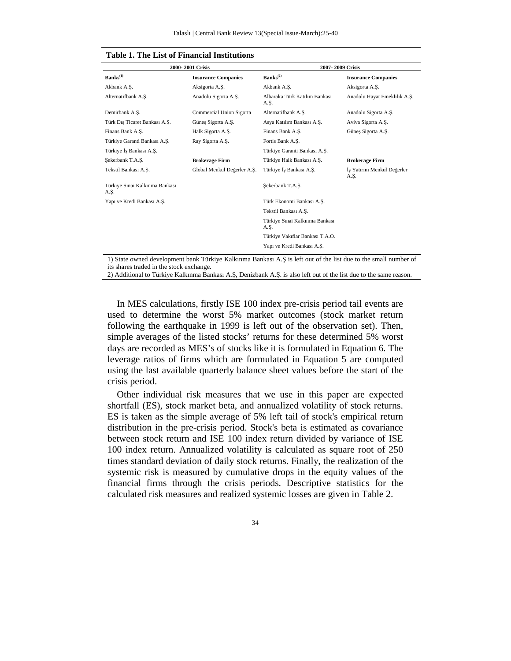|                                        | 2000-2001 Crisis            | 2007-2009 Crisis                       |                                    |  |  |
|----------------------------------------|-----------------------------|----------------------------------------|------------------------------------|--|--|
| $Banks^{(1)}$                          | <b>Insurance Companies</b>  | $Banks^{(2)}$                          | <b>Insurance Companies</b>         |  |  |
| Akbank A.S.                            | Aksigorta A.S.              | Akbank A.S.                            | Aksigorta A.S.                     |  |  |
| Alternatifbank A.S.                    | Anadolu Sigorta A.S.        | Albaraka Türk Katılım Bankası<br>A.Ş.  | Anadolu Hayat Emeklilik A.S.       |  |  |
| Demirbank A.S.                         | Commercial Union Sigorta    | Alternatifbank A.S.                    | Anadolu Sigorta A.S.               |  |  |
| Türk Dıs Ticaret Bankası A.S.          | Güneş Sigorta A.Ş.          | Asya Katılım Bankası A.S.              | Aviva Sigorta A.S.                 |  |  |
| Finans Bank A.S.                       | Halk Sigorta A.S.           | Finans Bank A.S.                       | Güneş Sigorta A.Ş.                 |  |  |
| Türkiye Garanti Bankası A.S.           | Ray Sigorta A.S.            | Fortis Bank A.S.                       |                                    |  |  |
| Türkiye İs Bankası A.S.                |                             | Türkiye Garanti Bankası A.S.           |                                    |  |  |
| Sekerbank T.A.S.                       | <b>Brokerage Firm</b>       | Türkiye Halk Bankası A.S.              | <b>Brokerage Firm</b>              |  |  |
| Tekstil Bankası A.S.                   | Global Menkul Değerler A.S. | Türkiye İs Bankası A.S.                | İs Yatırım Menkul Değerler<br>A.Ş. |  |  |
| Türkiye Sınai Kalkınma Bankası<br>A.S. |                             | Sekerbank T.A.S.                       |                                    |  |  |
| Yapı ve Kredi Bankası A.S.             |                             | Türk Ekonomi Bankası A.Ş.              |                                    |  |  |
|                                        |                             | Tekstil Bankası A.S.                   |                                    |  |  |
|                                        |                             | Türkiye Sınai Kalkınma Bankası<br>A.Ş. |                                    |  |  |
|                                        |                             | Türkiye Vakıflar Bankası T.A.O.        |                                    |  |  |
|                                        |                             | Yapı ve Kredi Bankası A.S.             |                                    |  |  |
|                                        |                             |                                        |                                    |  |  |

|  |  |  |  |  | Table 1. The List of Financial Institutions |
|--|--|--|--|--|---------------------------------------------|
|--|--|--|--|--|---------------------------------------------|

1) State owned development bank Türkiye Kalkınma Bankası A.Ş is left out of the list due to the small number of

its shares traded in the stock exchange.

2) Additional to Türkiye Kalkınma Bankası A.Ş, Denizbank A.Ş. is also left out of the list due to the same reason.

In MES calculations, firstly ISE 100 index pre-crisis period tail events are used to determine the worst 5% market outcomes (stock market return following the earthquake in 1999 is left out of the observation set). Then, simple averages of the listed stocks' returns for these determined 5% worst days are recorded as MES's of stocks like it is formulated in Equation 6. The leverage ratios of firms which are formulated in Equation 5 are computed using the last available quarterly balance sheet values before the start of the crisis period.

Other individual risk measures that we use in this paper are expected shortfall (ES), stock market beta, and annualized volatility of stock returns. ES is taken as the simple average of 5% left tail of stock's empirical return distribution in the pre-crisis period. Stock's beta is estimated as covariance between stock return and ISE 100 index return divided by variance of ISE 100 index return. Annualized volatility is calculated as square root of 250 times standard deviation of daily stock returns. Finally, the realization of the systemic risk is measured by cumulative drops in the equity values of the financial firms through the crisis periods. Descriptive statistics for the calculated risk measures and realized systemic losses are given in Table 2.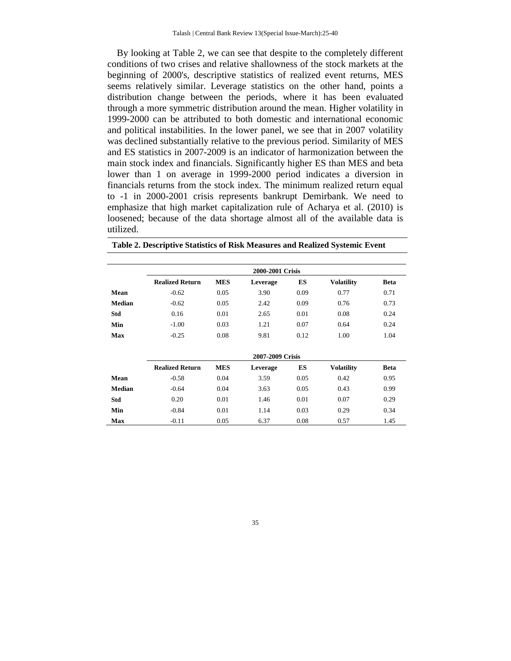By looking at Table 2, we can see that despite to the completely different conditions of two crises and relative shallowness of the stock markets at the beginning of 2000's, descriptive statistics of realized event returns, MES seems relatively similar. Leverage statistics on the other hand, points a distribution change between the periods, where it has been evaluated through a more symmetric distribution around the mean. Higher volatility in 1999-2000 can be attributed to both domestic and international economic and political instabilities. In the lower panel, we see that in 2007 volatility was declined substantially relative to the previous period. Similarity of MES and ES statistics in 2007-2009 is an indicator of harmonization between the main stock index and financials. Significantly higher ES than MES and beta lower than 1 on average in 1999-2000 period indicates a diversion in financials returns from the stock index. The minimum realized return equal to -1 in 2000-2001 crisis represents bankrupt Demirbank. We need to emphasize that high market capitalization rule of Acharya et al. (2010) is loosened; because of the data shortage almost all of the available data is utilized.

|               | 2000-2001 Crisis       |            |                  |      |                   |             |  |  |
|---------------|------------------------|------------|------------------|------|-------------------|-------------|--|--|
|               | <b>Realized Return</b> | <b>MES</b> | Leverage         | ES   | <b>Volatility</b> | <b>Beta</b> |  |  |
| Mean          | $-0.62$                | 0.05       | 3.90             | 0.09 | 0.77              | 0.71        |  |  |
| <b>Median</b> | $-0.62$                | 0.05       | 2.42             | 0.09 | 0.76              | 0.73        |  |  |
| Std           | 0.16                   | 0.01       | 2.65             | 0.01 | 0.08              | 0.24        |  |  |
| Min           | $-1.00$                | 0.03       | 1.21             | 0.07 | 0.64              | 0.24        |  |  |
| <b>Max</b>    | $-0.25$                | 0.08       | 9.81             | 0.12 | 1.00              | 1.04        |  |  |
|               |                        |            | 2007-2009 Crisis |      |                   |             |  |  |
|               | <b>Realized Return</b> | <b>MES</b> | Leverage         | ES   | <b>Volatility</b> | <b>Beta</b> |  |  |
| Mean          | $-0.58$                | 0.04       | 3.59             | 0.05 | 0.42              | 0.95        |  |  |
| <b>Median</b> | $-0.64$                | 0.04       | 3.63             | 0.05 | 0.43              | 0.99        |  |  |
| Std           | 0.20                   | 0.01       | 1.46             | 0.01 | 0.07              | 0.29        |  |  |
| Min           | $-0.84$                | 0.01       | 1.14             | 0.03 | 0.29              | 0.34        |  |  |
| <b>Max</b>    | $-0.11$                | 0.05       | 6.37             | 0.08 | 0.57              | 1.45        |  |  |

**Table 2. Descriptive Statistics of Risk Measures and Realized Systemic Event**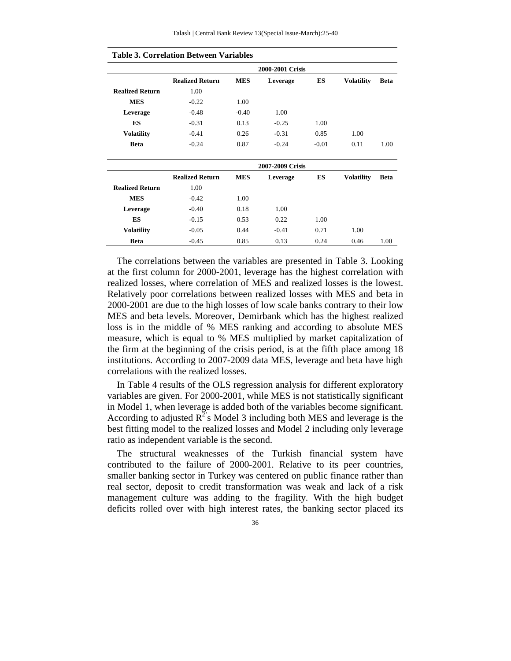|                        |                        |            | 2000-2001 Crisis |         |                   |             |  |  |  |  |
|------------------------|------------------------|------------|------------------|---------|-------------------|-------------|--|--|--|--|
|                        | <b>Realized Return</b> | <b>MES</b> | Leverage         | ES      | <b>Volatility</b> | <b>Beta</b> |  |  |  |  |
| <b>Realized Return</b> | 1.00                   |            |                  |         |                   |             |  |  |  |  |
| <b>MES</b>             | $-0.22$                | 1.00       |                  |         |                   |             |  |  |  |  |
| Leverage               | $-0.48$                | $-0.40$    | 1.00             |         |                   |             |  |  |  |  |
| ES                     | $-0.31$                | 0.13       | $-0.25$          | 1.00    |                   |             |  |  |  |  |
| <b>Volatility</b>      | $-0.41$                | 0.26       | $-0.31$          | 0.85    | 1.00              |             |  |  |  |  |
| <b>Beta</b>            | $-0.24$                | 0.87       | $-0.24$          | $-0.01$ | 0.11              | 1.00        |  |  |  |  |
|                        |                        |            |                  |         |                   |             |  |  |  |  |
|                        | 2007-2009 Crisis       |            |                  |         |                   |             |  |  |  |  |
|                        | <b>Realized Return</b> | <b>MES</b> | Leverage         | ES      | <b>Volatility</b> | <b>Beta</b> |  |  |  |  |
| <b>Realized Return</b> | 1.00                   |            |                  |         |                   |             |  |  |  |  |
| <b>MES</b>             | $-0.42$                | 1.00       |                  |         |                   |             |  |  |  |  |
| Leverage               | $-0.40$                | 0.18       | 1.00             |         |                   |             |  |  |  |  |
| ES                     | $-0.15$                | 0.53       | 0.22             | 1.00    |                   |             |  |  |  |  |
| <b>Volatility</b>      | $-0.05$                | 0.44       | $-0.41$          | 0.71    | 1.00              |             |  |  |  |  |
| <b>Beta</b>            | $-0.45$                | 0.85       | 0.13             | 0.24    | 0.46              | 1.00        |  |  |  |  |

#### **Table 3. Correlation Between Variables**

The correlations between the variables are presented in Table 3. Looking at the first column for 2000-2001, leverage has the highest correlation with realized losses, where correlation of MES and realized losses is the lowest. Relatively poor correlations between realized losses with MES and beta in 2000-2001 are due to the high losses of low scale banks contrary to their low MES and beta levels. Moreover, Demirbank which has the highest realized loss is in the middle of % MES ranking and according to absolute MES measure, which is equal to % MES multiplied by market capitalization of the firm at the beginning of the crisis period, is at the fifth place among 18 institutions. According to 2007-2009 data MES, leverage and beta have high correlations with the realized losses.

In Table 4 results of the OLS regression analysis for different exploratory variables are given. For 2000-2001, while MES is not statistically significant in Model 1, when leverage is added both of the variables become significant. According to adjusted  $\mathbb{R}^2$ 's Model 3 including both MES and leverage is the best fitting model to the realized losses and Model 2 including only leverage ratio as independent variable is the second.

The structural weaknesses of the Turkish financial system have contributed to the failure of 2000-2001. Relative to its peer countries, smaller banking sector in Turkey was centered on public finance rather than real sector, deposit to credit transformation was weak and lack of a risk management culture was adding to the fragility. With the high budget deficits rolled over with high interest rates, the banking sector placed its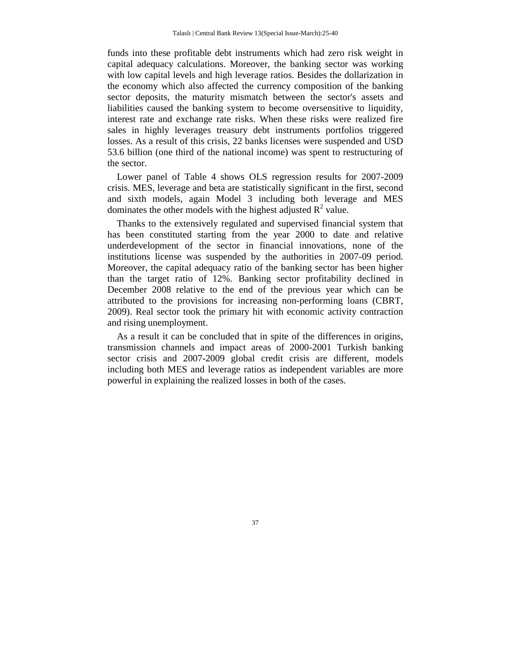funds into these profitable debt instruments which had zero risk weight in capital adequacy calculations. Moreover, the banking sector was working with low capital levels and high leverage ratios. Besides the dollarization in the economy which also affected the currency composition of the banking sector deposits, the maturity mismatch between the sector's assets and liabilities caused the banking system to become oversensitive to liquidity, interest rate and exchange rate risks. When these risks were realized fire sales in highly leverages treasury debt instruments portfolios triggered losses. As a result of this crisis, 22 banks licenses were suspended and USD 53.6 billion (one third of the national income) was spent to restructuring of the sector.

Lower panel of Table 4 shows OLS regression results for 2007-2009 crisis. MES, leverage and beta are statistically significant in the first, second and sixth models, again Model 3 including both leverage and MES dominates the other models with the highest adjusted  $R^2$  value.

Thanks to the extensively regulated and supervised financial system that has been constituted starting from the year 2000 to date and relative underdevelopment of the sector in financial innovations, none of the institutions license was suspended by the authorities in 2007-09 period. Moreover, the capital adequacy ratio of the banking sector has been higher than the target ratio of 12%. Banking sector profitability declined in December 2008 relative to the end of the previous year which can be attributed to the provisions for increasing non-performing loans (CBRT, 2009). Real sector took the primary hit with economic activity contraction and rising unemployment.

As a result it can be concluded that in spite of the differences in origins, transmission channels and impact areas of 2000-2001 Turkish banking sector crisis and 2007-2009 global credit crisis are different, models including both MES and leverage ratios as independent variables are more powerful in explaining the realized losses in both of the cases.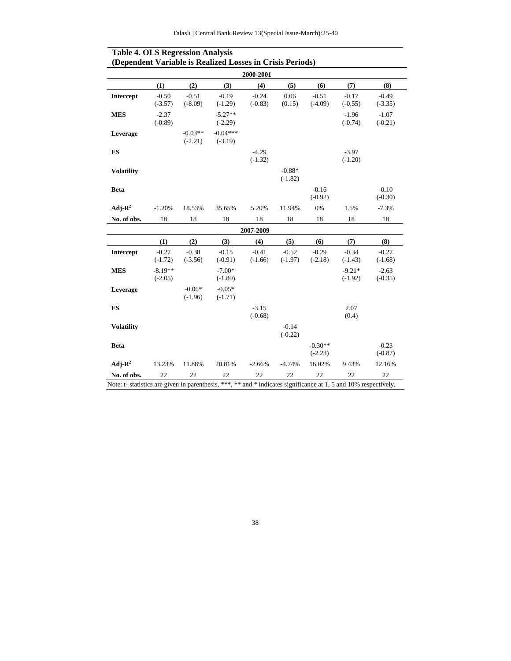| 2000-2001           |                        |                        |                         |                      |                       |                        |                       |                      |
|---------------------|------------------------|------------------------|-------------------------|----------------------|-----------------------|------------------------|-----------------------|----------------------|
|                     | (1)                    | (2)                    | (3)                     | (4)                  | (5)                   | (6)                    | (7)                   | (8)                  |
| <b>Intercept</b>    | $-0.50$<br>$(-3.57)$   | $-0.51$<br>$(-8.09)$   | $-0.19$<br>$(-1.29)$    | $-0.24$<br>$(-0.83)$ | 0.06<br>(0.15)        | $-0.51$<br>$(-4.09)$   | $-0.17$<br>$(-0, 55)$ | $-0.49$<br>$(-3.35)$ |
| <b>MES</b>          | $-2.37$<br>$(-0.89)$   |                        | $-5.27**$<br>$(-2.29)$  |                      |                       |                        | $-1.96$<br>$(-0.74)$  | $-1.07$<br>$(-0.21)$ |
| Leverage            |                        | $-0.03**$<br>$(-2.21)$ | $-0.04***$<br>$(-3.19)$ |                      |                       |                        |                       |                      |
| ES                  |                        |                        |                         | $-4.29$<br>$(-1.32)$ |                       |                        | $-3.97$<br>$(-1.20)$  |                      |
| <b>Volatility</b>   |                        |                        |                         |                      | $-0.88*$<br>$(-1.82)$ |                        |                       |                      |
| <b>Beta</b>         |                        |                        |                         |                      |                       | $-0.16$<br>$(-0.92)$   |                       | $-0.10$<br>$(-0.30)$ |
| Adj- $\mathbf{R}^2$ | $-1.20%$               | 18.53%                 | 35.65%                  | 5.20%                | 11.94%                | 0%                     | 1.5%                  | $-7.3%$              |
| No. of obs.         | 18                     | 18                     | 18                      | 18                   | 18                    | 18                     | 18                    | 18                   |
|                     |                        |                        |                         | 2007-2009            |                       |                        |                       |                      |
|                     | (1)                    | (2)                    | (3)                     | (4)                  | (5)                   | (6)                    | (7)                   | (8)                  |
| <b>Intercept</b>    | $-0.27$<br>$(-1.72)$   | $-0.38$<br>$(-3.56)$   | $-0.15$<br>$(-0.91)$    | $-0.41$<br>$(-1.66)$ | $-0.52$<br>$(-1.97)$  | $-0.29$<br>$(-2.18)$   | $-0.34$<br>$(-1.43)$  | $-0.27$<br>$(-1.68)$ |
| <b>MES</b>          | $-8.19**$<br>$(-2.05)$ |                        | $-7.00*$<br>$(-1.80)$   |                      |                       |                        | $-9.21*$<br>$(-1.92)$ | $-2.63$<br>$(-0.35)$ |
| Leverage            |                        | $-0.06*$<br>$(-1.96)$  | $-0.05*$<br>$(-1.71)$   |                      |                       |                        |                       |                      |
| ES                  |                        |                        |                         | $-3.15$<br>$(-0.68)$ |                       |                        | 2.07<br>(0.4)         |                      |
| <b>Volatility</b>   |                        |                        |                         |                      | $-0.14$<br>$(-0.22)$  |                        |                       |                      |
| <b>Beta</b>         |                        |                        |                         |                      |                       | $-0.30**$<br>$(-2.23)$ |                       | $-0.23$<br>$(-0.87)$ |
| Adj- $\mathbf{R}^2$ | 13.23%                 | 11.88%                 | 20.81%                  | $-2.66%$             | $-4.74%$              | 16.02%                 | 9.43%                 | 12.16%               |
| No. of obs.         | 22                     | 22                     | 22                      | 22                   | 22                    | 22                     | 22                    | 22                   |

#### **Table 4. OLS Regression Analysis (Dependent Variable is Realized Losses in Crisis Periods)**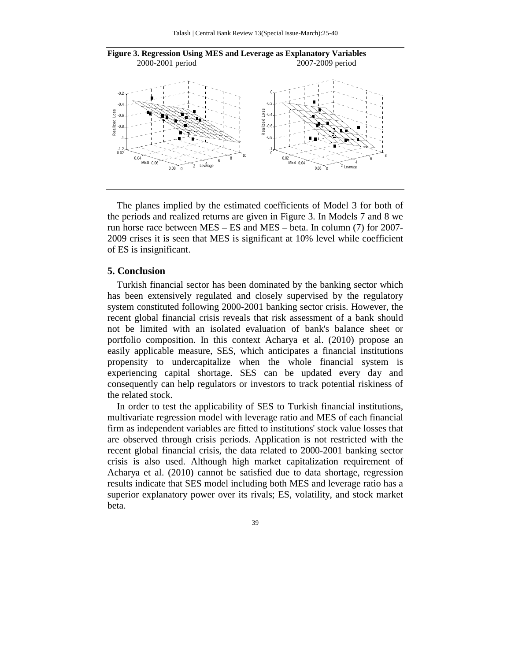

**Figure 3. Regression Using MES and Leverage as Explanatory Variables**  2000-2001 period 2007-2009 period

The planes implied by the estimated coefficients of Model 3 for both of the periods and realized returns are given in Figure 3. In Models 7 and 8 we run horse race between MES – ES and MES – beta. In column (7) for 2007- 2009 crises it is seen that MES is significant at 10% level while coefficient of ES is insignificant.

#### **5. Conclusion**

Turkish financial sector has been dominated by the banking sector which has been extensively regulated and closely supervised by the regulatory system constituted following 2000-2001 banking sector crisis. However, the recent global financial crisis reveals that risk assessment of a bank should not be limited with an isolated evaluation of bank's balance sheet or portfolio composition. In this context Acharya et al. (2010) propose an easily applicable measure, SES, which anticipates a financial institutions propensity to undercapitalize when the whole financial system is experiencing capital shortage. SES can be updated every day and consequently can help regulators or investors to track potential riskiness of the related stock.

In order to test the applicability of SES to Turkish financial institutions, multivariate regression model with leverage ratio and MES of each financial firm as independent variables are fitted to institutions' stock value losses that are observed through crisis periods. Application is not restricted with the recent global financial crisis, the data related to 2000-2001 banking sector crisis is also used. Although high market capitalization requirement of Acharya et al. (2010) cannot be satisfied due to data shortage, regression results indicate that SES model including both MES and leverage ratio has a superior explanatory power over its rivals; ES, volatility, and stock market beta.